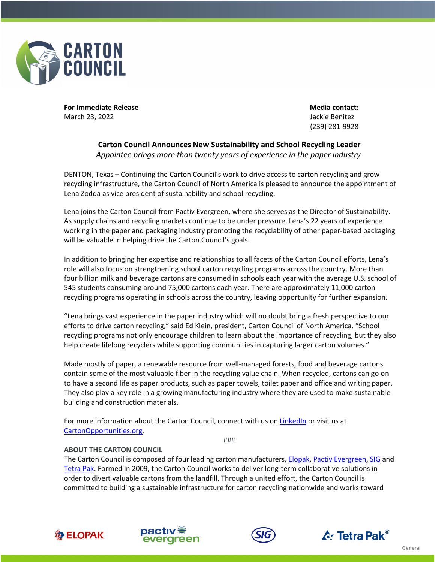

**For Immediate Release Media contact:** March 23, 2022                            Jackie Benitez

(239) 281-9928

## **Carton Council Announces New Sustainability and School Recycling Leader** *Appointee brings more than twenty years of experience in the paper industry*

DENTON, Texas – Continuing the Carton Council's work to drive access to carton recycling and grow recycling infrastructure, the Carton Council of North America is pleased to announce the appointment of Lena Zodda as vice president of sustainability and school recycling.

Lena joins the Carton Council from Pactiv Evergreen, where she serves as the Director of Sustainability. As supply chains and recycling markets continue to be under pressure, Lena's 22 years of experience working in the paper and packaging industry promoting the recyclability of other paper-based packaging will be valuable in helping drive the Carton Council's goals.

In addition to bringing her expertise and relationships to all facets of the Carton Council efforts, Lena's role will also focus on strengthening school carton recycling programs across the country. More than four billion milk and beverage cartons are consumed in schools each year with the average U.S. school of 545 students consuming around 75,000 cartons each year. There are approximately 11,000 carton recycling programs operating in schools across the country, leaving opportunity for further expansion.

"Lena brings vast experience in the paper industry which will no doubt bring a fresh perspective to our efforts to drive carton recycling," said Ed Klein, president, Carton Council of North America. "School recycling programs not only encourage children to learn about the importance of recycling, but they also help create lifelong recyclers while supporting communities in capturing larger carton volumes."

Made mostly of paper, a renewable resource from well-managed forests, food and beverage cartons contain some of the most valuable fiber in the recycling value chain. When recycled, cartons can go on to have a second life as paper products, such as paper towels, toilet paper and office and writing paper. They also play a key role in a growing manufacturing industry where they are used to make sustainable building and construction materials.

For more information about the Carton Council, connect with us on LinkedIn or visit us at CartonOpportunities.org.

###

## **ABOUT THE CARTON COUNCIL**

The Carton Council is composed of four leading carton manufacturers, Elopak, Pactiv Evergreen, SIG and Tetra Pak. Formed in 2009, the Carton Council works to deliver long-term collaborative solutions in order to divert valuable cartons from the landfill. Through a united effort, the Carton Council is committed to building a sustainable infrastructure for carton recycling nationwide and works toward